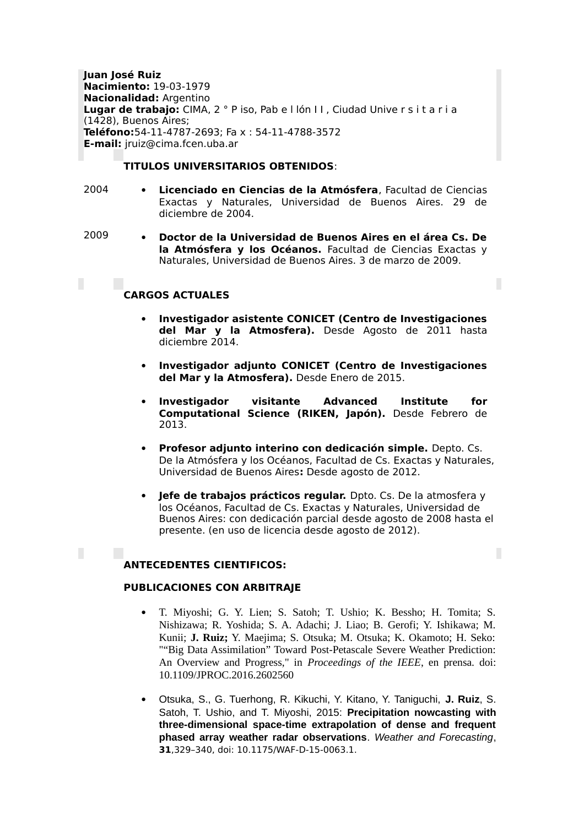**Juan José Ruiz Nacimiento:** 19-03-1979 **Nacionalidad:** Argentino **Lugar de trabajo:** CIMA, 2 ° P iso, Pab e l lón I I , Ciudad Unive r s i t a r i a (1428), Buenos Aires; **Teléfono:**54-11-4787-2693; Fa x : 54-11-4788-3572 **E-mail:** jruiz@cima.fcen.uba.ar

# **TITULOS UNIVERSITARIOS OBTENIDOS**:

- 2004 **Licenciado en Ciencias de la Atmósfera**, Facultad de Ciencias Exactas y Naturales, Universidad de Buenos Aires. 29 de diciembre de 2004.
- 2009

П

 **Doctor de la Universidad de Buenos Aires en el área Cs. De la Atmósfera y los Océanos.** Facultad de Ciencias Exactas y Naturales, Universidad de Buenos Aires. 3 de marzo de 2009.

# **CARGOS ACTUALES**

- **Investigador asistente CONICET (Centro de Investigaciones del Mar y la Atmosfera).** Desde Agosto de 2011 hasta diciembre 2014.
- **Investigador adjunto CONICET (Centro de Investigaciones del Mar y la Atmosfera).** Desde Enero de 2015.
- **Investigador visitante Advanced Institute for Computational Science (RIKEN, Japón).** Desde Febrero de 2013.
- **Profesor adjunto interino con dedicación simple.** Depto. Cs. De la Atmósfera y los Océanos, Facultad de Cs. Exactas y Naturales, Universidad de Buenos Aires**:** Desde agosto de 2012.
- **Jefe de trabajos prácticos regular.** Dpto. Cs. De la atmosfera y los Océanos, Facultad de Cs. Exactas y Naturales, Universidad de Buenos Aires: con dedicación parcial desde agosto de 2008 hasta el presente. (en uso de licencia desde agosto de 2012).

П

# **ANTECEDENTES CIENTIFICOS:**

# **PUBLICACIONES CON ARBITRAJE**

- T. Miyoshi; G. Y. Lien; S. Satoh; T. Ushio; K. Bessho; H. Tomita; S. Nishizawa; R. Yoshida; S. A. Adachi; J. Liao; B. Gerofi; Y. Ishikawa; M. Kunii; **J. Ruiz;** Y. Maejima; S. Otsuka; M. Otsuka; K. Okamoto; H. Seko: ""Big Data Assimilation" Toward Post-Petascale Severe Weather Prediction: An Overview and Progress," in *Proceedings of the IEEE*, en prensa. doi: 10.1109/JPROC.2016.2602560
- Otsuka, S., G. Tuerhong, R. Kikuchi, Y. Kitano, Y. Taniguchi, **J. Ruiz**, S. Satoh, T. Ushio, and T. Miyoshi, 2015: **Precipitation nowcasting with three-dimensional space-time extrapolation of dense and frequent phased array weather radar observations**. *Weather and Forecasting*, **31**,329–340, doi: 10.1175/WAF-D-15-0063.1.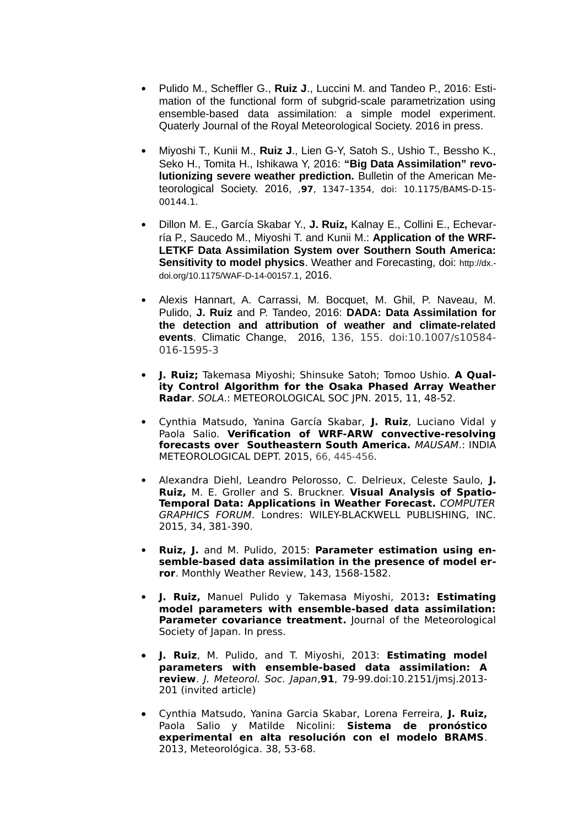- Pulido M., Scheffler G., **Ruiz J**., Luccini M. and Tandeo P., 2016: Estimation of the functional form of subgrid-scale parametrization using ensemble-based data assimilation: a simple model experiment. Quaterly Journal of the Royal Meteorological Society. 2016 in press.
- Miyoshi T., Kunii M., **Ruiz J**., Lien G-Y, Satoh S., Ushio T., Bessho K., Seko H., Tomita H., Ishikawa Y, 2016: **"Big Data Assimilation" revolutionizing severe weather prediction.** Bulletin of the American Meteorological Society. 2016, ,**97**, 1347–1354, doi: 10.1175/BAMS-D-15- 00144.1.
- Dillon M. E., García Skabar Y., **J. Ruiz,** Kalnay E., Collini E., Echevarría P., Saucedo M., Miyoshi T. and Kunii M.: **Application of the WRF-LETKF Data Assimilation System over Southern South America: Sensitivity to model physics**. Weather and Forecasting, doi: [http://dx.](http://dx.doi.org/10.1175/WAF-D-14-00157.1) [doi.org/10.1175/WAF-D-14-00157.1](http://dx.doi.org/10.1175/WAF-D-14-00157.1), 2016.
- Alexis Hannart, A. Carrassi, M. Bocquet, M. Ghil, P. Naveau, M. Pulido, **J. Ruiz** and P. Tandeo, 2016: **DADA: Data Assimilation for the detection and attribution of weather and climate-related events**. Climatic Change, 2016, 136, 155. doi:10.1007/s10584- 016-1595-3
- **J. Ruiz;** Takemasa Miyoshi; Shinsuke Satoh; Tomoo Ushio. **A Quality Control Algorithm for the Osaka Phased Array Weather Radar**. SOLA.: METEOROLOGICAL SOC JPN. 2015, 11, 48-52.
- Cynthia Matsudo, Yanina García Skabar, **J. Ruiz**, Luciano Vidal y Paola Salio. **Verification of WRF-ARW convective-resolving forecasts over Southeastern South America.** MAUSAM.: INDIA METEOROLOGICAL DEPT. 2015, 66, 445-456.
- Alexandra Diehl, Leandro Pelorosso, C. Delrieux, Celeste Saulo, **J. Ruiz,** M. E. Groller and S. Bruckner. **Visual Analysis of Spatio-Temporal Data: Applications in Weather Forecast.** COMPUTER GRAPHICS FORUM. Londres: WILEY-BLACKWELL PUBLISHING, INC. 2015, 34, 381-390.
- **Ruiz, J.** and M. Pulido, 2015: **Parameter estimation using ensemble-based data assimilation in the presence of model error**. Monthly Weather Review, 143, 1568-1582.
- **J. Ruiz,** Manuel Pulido y Takemasa Miyoshi, 2013**: Estimating model parameters with ensemble-based data assimilation: Parameter covariance treatment.** Journal of the Meteorological Society of Japan. In press.
- **J. Ruiz**, M. Pulido, and T. Miyoshi, 2013: **Estimating model parameters with ensemble-based data assimilation: A review**. J. Meteorol. Soc. Japan,**91**, 79-99[.doi:10.2151/jmsj.2013-](http://dx.doi.org/10.2151/jmsj.2013-201) [201](http://dx.doi.org/10.2151/jmsj.2013-201) (invited article)
- Cynthia Matsudo, Yanina Garcia Skabar, Lorena Ferreira, **J. Ruiz,** Paola Salio y Matilde Nicolini: **Sistema de pronóstico experimental en alta resolución con el modelo BRAMS**. 2013, Meteorológica. 38, 53-68.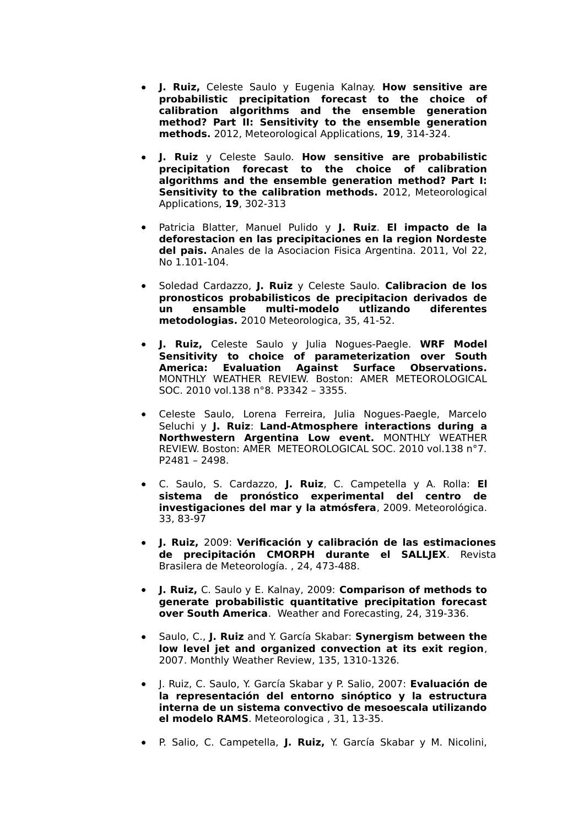- **J. Ruiz,** Celeste Saulo y Eugenia Kalnay. **How sensitive are probabilistic precipitation forecast to the choice of calibration algorithms and the ensemble generation method? Part II: Sensitivity to the ensemble generation methods.** 2012, Meteorological Applications, **19**, 314-324.
- **J. Ruiz** y Celeste Saulo. **How sensitive are probabilistic precipitation forecast to the choice of calibration algorithms and the ensemble generation method? Part I: Sensitivity to the calibration methods.** 2012, Meteorological Applications, **19**, 302-313
- Patricia Blatter, Manuel Pulido y **J. Ruiz**. **El impacto de la deforestacion en las precipitaciones en la region Nordeste del pais.** Anales de la Asociacion Fisica Argentina. 2011, Vol 22, No 1.101-104.
- Soledad Cardazzo, **J. Ruiz** y Celeste Saulo. **Calibracion de los pronosticos probabilisticos de precipitacion derivados de un ensamble multi-modelo utlizando diferentes metodologias.** 2010 Meteorologica, 35, 41-52.
- **J. Ruiz,** Celeste Saulo y Julia Nogues-Paegle. **WRF Model Sensitivity to choice of parameterization over South America: Evaluation Against Surface Observations.** MONTHLY WEATHER REVIEW. Boston: AMER METEOROLOGICAL SOC. 2010 vol.138 n°8. P3342 – 3355.
- Celeste Saulo, Lorena Ferreira, Julia Nogues-Paegle, Marcelo Seluchi y **J. Ruiz**: **Land-Atmosphere interactions during a Northwestern Argentina Low event.** MONTHLY WEATHER REVIEW. Boston: AMER METEOROLOGICAL SOC. 2010 vol.138 n°7. P2481 – 2498.
- C. Saulo, S. Cardazzo, **J. Ruiz**, C. Campetella y A. Rolla: **El sistema de pronóstico experimental del centro de investigaciones del mar y la atmósfera**, 2009. Meteorológica. 33, 83-97
- **J. Ruiz,** 2009: **Verificación y calibración de las estimaciones de precipitación CMORPH durante el SALLJEX**. Revista Brasilera de Meteorología. , 24, 473-488.
- **J. Ruiz,** C. Saulo y E. Kalnay, 2009: **Comparison of methods to generate probabilistic quantitative precipitation forecast over South America**. Weather and Forecasting, 24, 319-336.
- Saulo, C., **J. Ruiz** and Y. García Skabar: **Synergism between the low level jet and organized convection at its exit region**, 2007. Monthly Weather Review, 135, 1310-1326.
- J. Ruiz, C. Saulo, Y. García Skabar y P. Salio, 2007: **Evaluación de la representación del entorno sinóptico y la estructura interna de un sistema convectivo de mesoescala utilizando el modelo RAMS**. Meteorologica , 31, 13-35.
- P. Salio, C. Campetella, **J. Ruiz,** Y. García Skabar y M. Nicolini,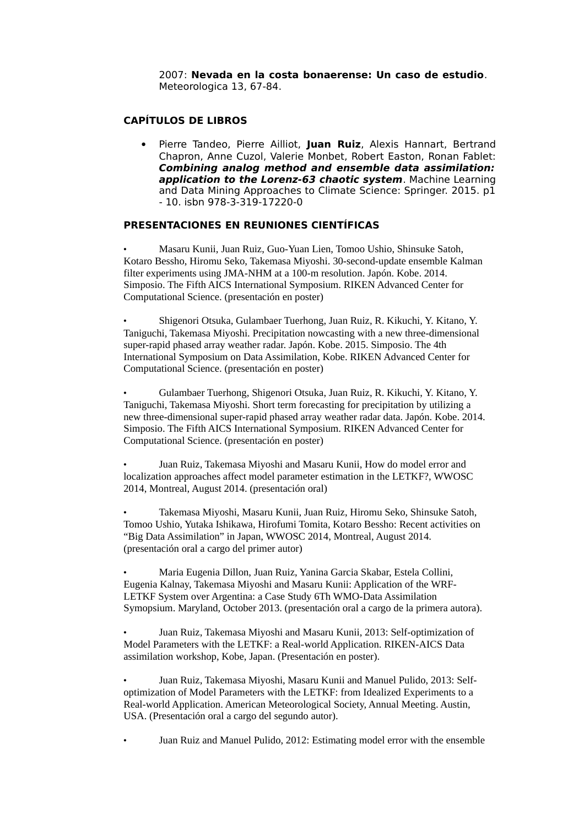2007: **Nevada en la costa bonaerense: Un caso de estudio**. Meteorologica 13, 67-84.

# **CAPÍTULOS DE LIBROS**

 Pierre Tandeo, Pierre Ailliot, **Juan Ruiz**, Alexis Hannart, Bertrand Chapron, Anne Cuzol, Valerie Monbet, Robert Easton, Ronan Fablet: **Combining analog method and ensemble data assimilation: application to the Lorenz-63 chaotic system**. Machine Learning and Data Mining Approaches to Climate Science: Springer. 2015. p1 - 10. isbn 978-3-319-17220-0

# **PRESENTACIONES EN REUNIONES CIENTÍFICAS**

• Masaru Kunii, Juan Ruiz, Guo-Yuan Lien, Tomoo Ushio, Shinsuke Satoh, Kotaro Bessho, Hiromu Seko, Takemasa Miyoshi. 30-second-update ensemble Kalman filter experiments using JMA-NHM at a 100-m resolution. Japón. Kobe. 2014. Simposio. The Fifth AICS International Symposium. RIKEN Advanced Center for Computational Science. (presentación en poster)

• Shigenori Otsuka, Gulambaer Tuerhong, Juan Ruiz, R. Kikuchi, Y. Kitano, Y. Taniguchi, Takemasa Miyoshi. Precipitation nowcasting with a new three-dimensional super-rapid phased array weather radar. Japón. Kobe. 2015. Simposio. The 4th International Symposium on Data Assimilation, Kobe. RIKEN Advanced Center for Computational Science. (presentación en poster)

• Gulambaer Tuerhong, Shigenori Otsuka, Juan Ruiz, R. Kikuchi, Y. Kitano, Y. Taniguchi, Takemasa Miyoshi. Short term forecasting for precipitation by utilizing a new three-dimensional super-rapid phased array weather radar data. Japón. Kobe. 2014. Simposio. The Fifth AICS International Symposium. RIKEN Advanced Center for Computational Science. (presentación en poster)

• Juan Ruiz, Takemasa Miyoshi and Masaru Kunii, How do model error and localization approaches affect model parameter estimation in the LETKF?, WWOSC 2014, Montreal, August 2014. (presentación oral)

• Takemasa Miyoshi, Masaru Kunii, Juan Ruiz, Hiromu Seko, Shinsuke Satoh, Tomoo Ushio, Yutaka Ishikawa, Hirofumi Tomita, Kotaro Bessho: Recent activities on "Big Data Assimilation" in Japan, WWOSC 2014, Montreal, August 2014. (presentación oral a cargo del primer autor)

• Maria Eugenia Dillon, Juan Ruiz, Yanina Garcia Skabar, Estela Collini, Eugenia Kalnay, Takemasa Miyoshi and Masaru Kunii: Application of the WRF-LETKF System over Argentina: a Case Study 6Th WMO-Data Assimilation Symopsium. Maryland, October 2013. (presentación oral a cargo de la primera autora).

• Juan Ruiz, Takemasa Miyoshi and Masaru Kunii, 2013: Self-optimization of Model Parameters with the LETKF: a Real-world Application. RIKEN-AICS Data assimilation workshop, Kobe, Japan. (Presentación en poster).

• Juan Ruiz, Takemasa Miyoshi, Masaru Kunii and Manuel Pulido, 2013: Selfoptimization of Model Parameters with the LETKF: from Idealized Experiments to a Real-world Application. American Meteorological Society, Annual Meeting. Austin, USA. (Presentación oral a cargo del segundo autor).

• Juan Ruiz and Manuel Pulido, 2012: Estimating model error with the ensemble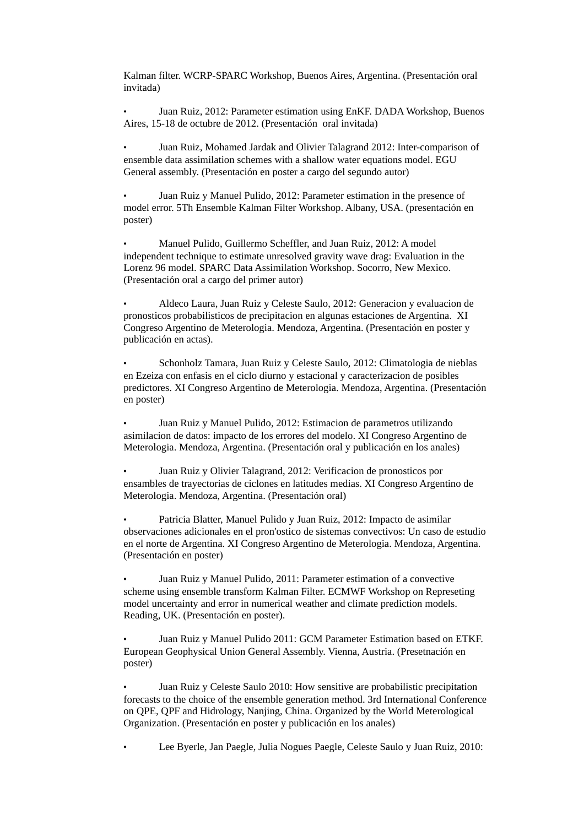Kalman filter. WCRP-SPARC Workshop, Buenos Aires, Argentina. (Presentación oral invitada)

• Juan Ruiz, 2012: Parameter estimation using EnKF. DADA Workshop, Buenos Aires, 15-18 de octubre de 2012. (Presentación oral invitada)

• Juan Ruiz, Mohamed Jardak and Olivier Talagrand 2012: Inter-comparison of ensemble data assimilation schemes with a shallow water equations model. EGU General assembly. (Presentación en poster a cargo del segundo autor)

• Juan Ruiz y Manuel Pulido, 2012: Parameter estimation in the presence of model error. 5Th Ensemble Kalman Filter Workshop. Albany, USA. (presentación en poster)

• Manuel Pulido, Guillermo Scheffler, and Juan Ruiz, 2012: A model independent technique to estimate unresolved gravity wave drag: Evaluation in the Lorenz 96 model. SPARC Data Assimilation Workshop. Socorro, New Mexico. (Presentación oral a cargo del primer autor)

• Aldeco Laura, Juan Ruiz y Celeste Saulo, 2012: Generacion y evaluacion de pronosticos probabilisticos de precipitacion en algunas estaciones de Argentina. XI Congreso Argentino de Meterologia. Mendoza, Argentina. (Presentación en poster y publicación en actas).

• Schonholz Tamara, Juan Ruiz y Celeste Saulo, 2012: Climatologia de nieblas en Ezeiza con enfasis en el ciclo diurno y estacional y caracterizacion de posibles predictores. XI Congreso Argentino de Meterologia. Mendoza, Argentina. (Presentación en poster)

• Juan Ruiz y Manuel Pulido, 2012: Estimacion de parametros utilizando asimilacion de datos: impacto de los errores del modelo. XI Congreso Argentino de Meterologia. Mendoza, Argentina. (Presentación oral y publicación en los anales)

• Juan Ruiz y Olivier Talagrand, 2012: Verificacion de pronosticos por ensambles de trayectorias de ciclones en latitudes medias. XI Congreso Argentino de Meterologia. Mendoza, Argentina. (Presentación oral)

• Patricia Blatter, Manuel Pulido y Juan Ruiz, 2012: Impacto de asimilar observaciones adicionales en el pron'ostico de sistemas convectivos: Un caso de estudio en el norte de Argentina. XI Congreso Argentino de Meterologia. Mendoza, Argentina. (Presentación en poster)

• Juan Ruiz y Manuel Pulido, 2011: Parameter estimation of a convective scheme using ensemble transform Kalman Filter. ECMWF Workshop on Represeting model uncertainty and error in numerical weather and climate prediction models. Reading, UK. (Presentación en poster).

• Juan Ruiz y Manuel Pulido 2011: GCM Parameter Estimation based on ETKF. European Geophysical Union General Assembly. Vienna, Austria. (Presetnación en poster)

• Juan Ruiz y Celeste Saulo 2010: How sensitive are probabilistic precipitation forecasts to the choice of the ensemble generation method. 3rd International Conference on QPE, QPF and Hidrology, Nanjing, China. Organized by the World Meterological Organization. (Presentación en poster y publicación en los anales)

• Lee Byerle, Jan Paegle, Julia Nogues Paegle, Celeste Saulo y Juan Ruiz, 2010: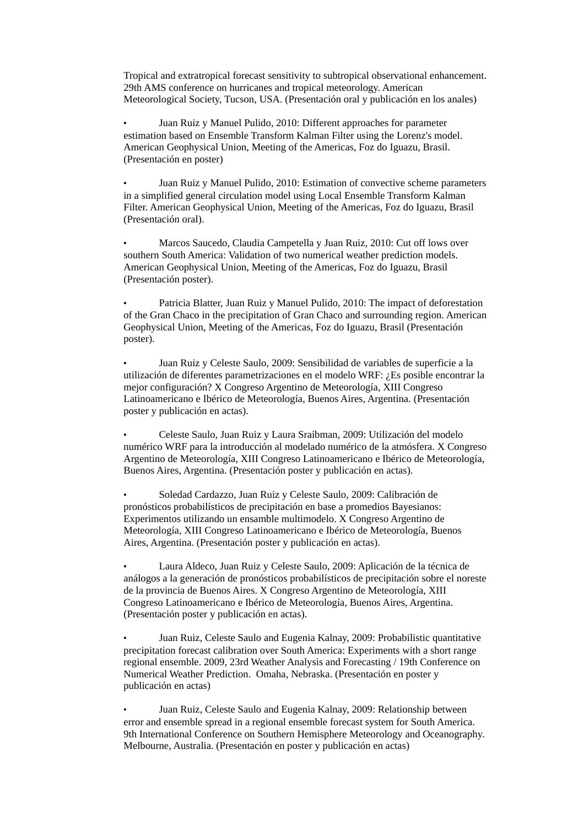Tropical and extratropical forecast sensitivity to subtropical observational enhancement. 29th AMS conference on hurricanes and tropical meteorology. American Meteorological Society, Tucson, USA. (Presentación oral y publicación en los anales)

• Juan Ruiz y Manuel Pulido, 2010: Different approaches for parameter estimation based on Ensemble Transform Kalman Filter using the Lorenz's model. American Geophysical Union, Meeting of the Americas, Foz do Iguazu, Brasil. (Presentación en poster)

• Juan Ruiz y Manuel Pulido, 2010: Estimation of convective scheme parameters in a simplified general circulation model using Local Ensemble Transform Kalman Filter. American Geophysical Union, Meeting of the Americas, Foz do Iguazu, Brasil (Presentación oral).

• Marcos Saucedo, Claudia Campetella y Juan Ruiz, 2010: Cut off lows over southern South America: Validation of two numerical weather prediction models. American Geophysical Union, Meeting of the Americas, Foz do Iguazu, Brasil (Presentación poster).

• Patricia Blatter, Juan Ruiz y Manuel Pulido, 2010: The impact of deforestation of the Gran Chaco in the precipitation of Gran Chaco and surrounding region. American Geophysical Union, Meeting of the Americas, Foz do Iguazu, Brasil (Presentación poster).

• Juan Ruiz y Celeste Saulo, 2009: Sensibilidad de variables de superficie a la utilización de diferentes parametrizaciones en el modelo WRF: ¿Es posible encontrar la mejor configuración? X Congreso Argentino de Meteorología, XIII Congreso Latinoamericano e Ibérico de Meteorología, Buenos Aires, Argentina. (Presentación poster y publicación en actas).

• Celeste Saulo, Juan Ruiz y Laura Sraibman, 2009: Utilización del modelo numérico WRF para la introducción al modelado numérico de la atmósfera. X Congreso Argentino de Meteorología, XIII Congreso Latinoamericano e Ibérico de Meteorología, Buenos Aires, Argentina. (Presentación poster y publicación en actas).

• Soledad Cardazzo, Juan Ruiz y Celeste Saulo, 2009: Calibración de pronósticos probabilísticos de precipitación en base a promedios Bayesianos: Experimentos utilizando un ensamble multimodelo. X Congreso Argentino de Meteorología, XIII Congreso Latinoamericano e Ibérico de Meteorología, Buenos Aires, Argentina. (Presentación poster y publicación en actas).

• Laura Aldeco, Juan Ruiz y Celeste Saulo, 2009: Aplicación de la técnica de análogos a la generación de pronósticos probabilísticos de precipitación sobre el noreste de la provincia de Buenos Aires. X Congreso Argentino de Meteorología, XIII Congreso Latinoamericano e Ibérico de Meteorología, Buenos Aires, Argentina. (Presentación poster y publicación en actas).

• Juan Ruiz, Celeste Saulo and Eugenia Kalnay, 2009: Probabilistic quantitative precipitation forecast calibration over South America: Experiments with a short range regional ensemble. 2009, 23rd Weather Analysis and Forecasting / 19th Conference on Numerical Weather Prediction. Omaha, Nebraska. (Presentación en poster y publicación en actas)

• Juan Ruiz, Celeste Saulo and Eugenia Kalnay, 2009: Relationship between error and ensemble spread in a regional ensemble forecast system for South America. 9th International Conference on Southern Hemisphere Meteorology and Oceanography. Melbourne, Australia. (Presentación en poster y publicación en actas)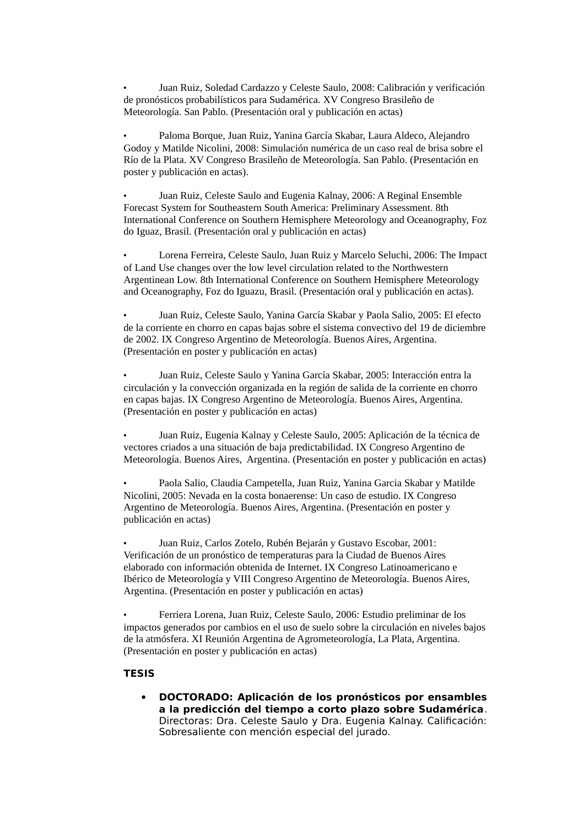• Juan Ruiz, Soledad Cardazzo y Celeste Saulo, 2008: Calibración y verificación de pronósticos probabilísticos para Sudamérica. XV Congreso Brasileño de Meteorología. San Pablo. (Presentación oral y publicación en actas)

• Paloma Borque, Juan Ruiz, Yanina García Skabar, Laura Aldeco, Alejandro Godoy y Matilde Nicolini, 2008: Simulación numérica de un caso real de brisa sobre el Río de la Plata. XV Congreso Brasileño de Meteorología. San Pablo. (Presentación en poster y publicación en actas).

• Juan Ruiz, Celeste Saulo and Eugenia Kalnay, 2006: A Reginal Ensemble Forecast System for Southeastern South America: Preliminary Assessment. 8th International Conference on Southern Hemisphere Meteorology and Oceanography, Foz do Iguaz, Brasil. (Presentación oral y publicación en actas)

• Lorena Ferreira, Celeste Saulo, Juan Ruiz y Marcelo Seluchi, 2006: The Impact of Land Use changes over the low level circulation related to the Northwestern Argentinean Low. 8th International Conference on Southern Hemisphere Meteorology and Oceanography, Foz do Iguazu, Brasil. (Presentación oral y publicación en actas).

• Juan Ruiz, Celeste Saulo, Yanina García Skabar y Paola Salio, 2005: El efecto de la corriente en chorro en capas bajas sobre el sistema convectivo del 19 de diciembre de 2002. IX Congreso Argentino de Meteorología. Buenos Aires, Argentina. (Presentación en poster y publicación en actas)

• Juan Ruiz, Celeste Saulo y Yanina García Skabar, 2005: Interacción entra la circulación y la convección organizada en la región de salida de la corriente en chorro en capas bajas. IX Congreso Argentino de Meteorología. Buenos Aires, Argentina. (Presentación en poster y publicación en actas)

• Juan Ruiz, Eugenia Kalnay y Celeste Saulo, 2005: Aplicación de la técnica de vectores criados a una situación de baja predictabilidad. IX Congreso Argentino de Meteorología. Buenos Aires, Argentina. (Presentación en poster y publicación en actas)

• Paola Salio, Claudia Campetella, Juan Ruiz, Yanina Garcia Skabar y Matilde Nicolini, 2005: Nevada en la costa bonaerense: Un caso de estudio. IX Congreso Argentino de Meteorología. Buenos Aires, Argentina. (Presentación en poster y publicación en actas)

• Juan Ruiz, Carlos Zotelo, Rubén Bejarán y Gustavo Escobar, 2001: Verificación de un pronóstico de temperaturas para la Ciudad de Buenos Aires elaborado con información obtenida de Internet. IX Congreso Latinoamericano e Ibérico de Meteorología y VIII Congreso Argentino de Meteorología. Buenos Aires, Argentina. (Presentación en poster y publicación en actas)

• Ferriera Lorena, Juan Ruiz, Celeste Saulo, 2006: Estudio preliminar de los impactos generados por cambios en el uso de suelo sobre la circulación en niveles bajos de la atmósfera. XI Reunión Argentina de Agrometeorología, La Plata, Argentina. (Presentación en poster y publicación en actas)

# **TESIS**

 **DOCTORADO: Aplicación de los pronósticos por ensambles a la predicción del tiempo a corto plazo sobre Sudamérica**. Directoras: Dra. Celeste Saulo y Dra. Eugenia Kalnay. Calificación: Sobresaliente con mención especial del jurado.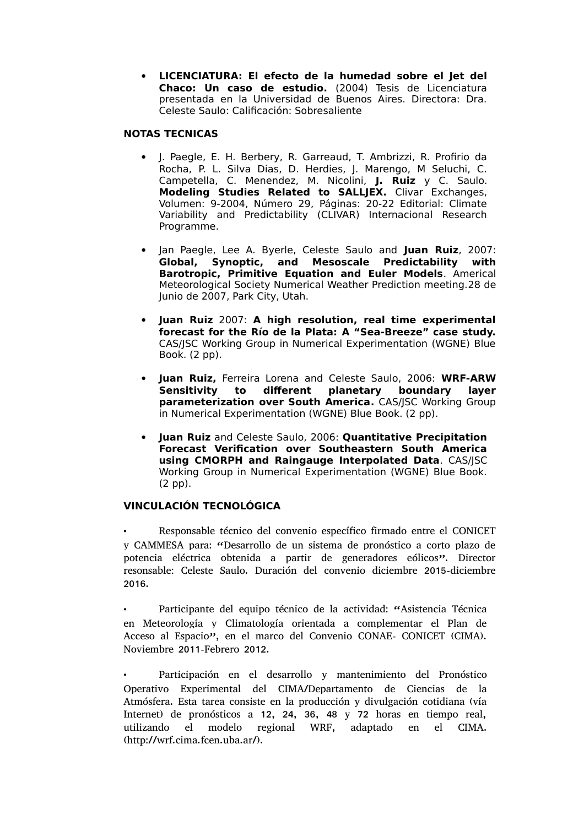**LICENCIATURA: El efecto de la humedad sobre el Jet del Chaco: Un caso de estudio.** (2004) Tesis de Licenciatura presentada en la Universidad de Buenos Aires. Directora: Dra. Celeste Saulo: Calificación: Sobresaliente

# **NOTAS TECNICAS**

- J. Paegle, E. H. Berbery, R. Garreaud, T. Ambrizzi, R. Profirio da Rocha, P. L. Silva Dias, D. Herdies, J. Marengo, M Seluchi, C. Campetella, C. Menendez, M. Nicolini, **J. Ruiz** y C. Saulo. **Modeling Studies Related to SALLJEX.** Clivar Exchanges, Volumen: 9-2004, Número 29, Páginas: 20-22 Editorial: Climate Variability and Predictability (CLIVAR) Internacional Research Programme.
- Jan Paegle, Lee A. Byerle, Celeste Saulo and **Juan Ruiz**, 2007: **Global, Synoptic, and Mesoscale Predictability with Barotropic, Primitive Equation and Euler Models**. Americal Meteorological Society Numerical Weather Prediction meeting.28 de Junio de 2007, Park City, Utah.
- **Juan Ruiz** 2007: **A high resolution, real time experimental forecast for the Río de la Plata: A "Sea-Breeze" case study.** CAS/JSC Working Group in Numerical Experimentation (WGNE) Blue Book. (2 pp).
- **Juan Ruiz,** Ferreira Lorena and Celeste Saulo, 2006: **WRF-ARW Sensitivity to different planetary boundary layer parameterization over South America.** CAS/JSC Working Group in Numerical Experimentation (WGNE) Blue Book. (2 pp).
- **Juan Ruiz** and Celeste Saulo, 2006: **Quantitative Precipitation Forecast Verification over Southeastern South America using CMORPH and Raingauge Interpolated Data**. CAS/JSC Working Group in Numerical Experimentation (WGNE) Blue Book. (2 pp).

# **VINCULACIÓN TECNOLÓGICA**

• Responsable técnico del convenio específico firmado entre el CONICET y CAMMESA para: "Desarrollo de un sistema de pronóstico a corto plazo de potencia eléctrica obtenida a partir de generadores eólicos". Director resonsable: Celeste Saulo. Duración del convenio diciembre 2015-diciembre 2016.

• Participante del equipo técnico de la actividad: "Asistencia Técnica en Meteorología y Climatología orientada a complementar el Plan de Acceso al Espacio", en el marco del Convenio CONAE- CONICET (CIMA). Noviembre 2011-Febrero 2012.

• Participación en el desarrollo y mantenimiento del Pronóstico Operativo Experimental del CIMA/Departamento de Ciencias de la Atmósfera. Esta tarea consiste en la producción y divulgación cotidiana (vía Internet) de pronósticos a 12, 24, 36, 48 y 72 horas en tiempo real, utilizando el modelo regional WRF, adaptado en el CIMA. (http://wrf.cima.fcen.uba.ar/).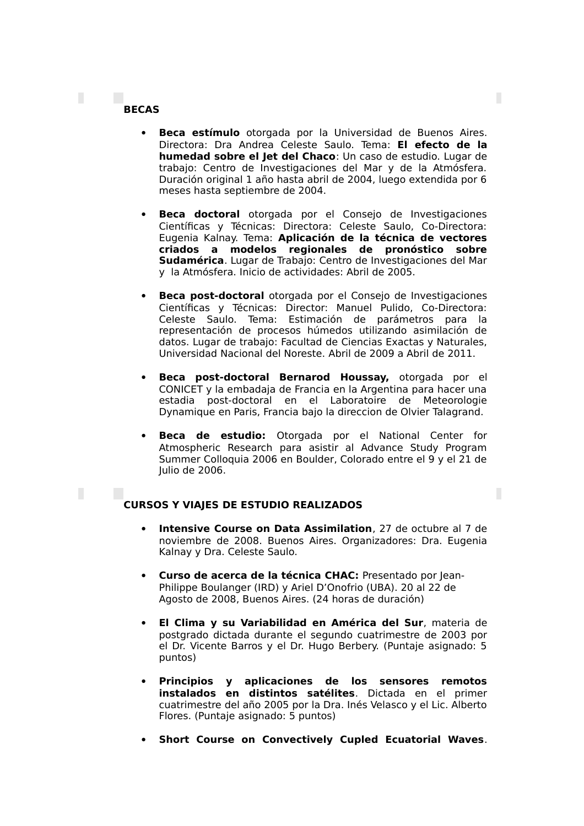# **BECAS**

П

П

 **Beca estímulo** otorgada por la Universidad de Buenos Aires. Directora: Dra Andrea Celeste Saulo. Tema: **El efecto de la humedad sobre el Jet del Chaco**: Un caso de estudio. Lugar de trabajo: Centro de Investigaciones del Mar y de la Atmósfera. Duración original 1 año hasta abril de 2004, luego extendida por 6 meses hasta septiembre de 2004.

П

П

- **Beca doctoral** otorgada por el Consejo de Investigaciones Científicas y Técnicas: Directora: Celeste Saulo, Co-Directora: Eugenia Kalnay. Tema: **Aplicación de la técnica de vectores criados a modelos regionales de pronóstico sobre Sudamérica**. Lugar de Trabajo: Centro de Investigaciones del Mar y la Atmósfera. Inicio de actividades: Abril de 2005.
- **Beca post-doctoral** otorgada por el Consejo de Investigaciones Científicas y Técnicas: Director: Manuel Pulido, Co-Directora: Celeste Saulo. Tema: Estimación de parámetros para la representación de procesos húmedos utilizando asimilación de datos. Lugar de trabajo: Facultad de Ciencias Exactas y Naturales, Universidad Nacional del Noreste. Abril de 2009 a Abril de 2011.
- **Beca post-doctoral Bernarod Houssay,** otorgada por el CONICET y la embadaja de Francia en la Argentina para hacer una estadia post-doctoral en el Laboratoire de Meteorologie Dynamique en Paris, Francia bajo la direccion de Olvier Talagrand.
- **Beca de estudio:** Otorgada por el National Center for Atmospheric Research para asistir al Advance Study Program Summer Colloquia 2006 en Boulder, Colorado entre el 9 y el 21 de Julio de 2006.

# **CURSOS Y VIAJES DE ESTUDIO REALIZADOS**

- **Intensive Course on Data Assimilation**, 27 de octubre al 7 de noviembre de 2008. Buenos Aires. Organizadores: Dra. Eugenia Kalnay y Dra. Celeste Saulo.
- **Curso de acerca de la técnica CHAC:** Presentado por Jean-Philippe Boulanger (IRD) y Ariel D'Onofrio (UBA). 20 al 22 de Agosto de 2008, Buenos Aires. (24 horas de duración)
- **El Clima y su Variabilidad en América del Sur**, materia de postgrado dictada durante el segundo cuatrimestre de 2003 por el Dr. Vicente Barros y el Dr. Hugo Berbery. (Puntaje asignado: 5 puntos)
- **Principios y aplicaciones de los sensores remotos instalados en distintos satélites**. Dictada en el primer cuatrimestre del año 2005 por la Dra. Inés Velasco y el Lic. Alberto Flores. (Puntaje asignado: 5 puntos)
- **Short Course on Convectively Cupled Ecuatorial Waves**.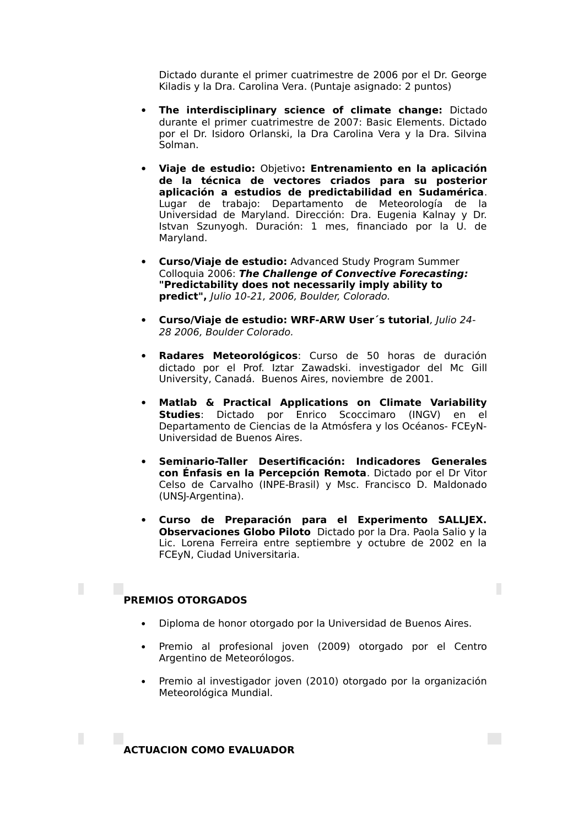Dictado durante el primer cuatrimestre de 2006 por el Dr. George Kiladis y la Dra. Carolina Vera. (Puntaje asignado: 2 puntos)

- **The interdisciplinary science of climate change:** Dictado durante el primer cuatrimestre de 2007: Basic Elements. Dictado por el Dr. Isidoro Orlanski, la Dra Carolina Vera y la Dra. Silvina Solman.
- **Viaje de estudio:** Objetivo**: Entrenamiento en la aplicación de la técnica de vectores criados para su posterior aplicación a estudios de predictabilidad en Sudamérica**. Lugar de trabajo: Departamento de Meteorología de la Universidad de Maryland. Dirección: Dra. Eugenia Kalnay y Dr. Istvan Szunyogh. Duración: 1 mes, financiado por la U. de Maryland.
- **Curso/Viaje de estudio:** Advanced Study Program Summer Colloquia 2006: **The Challenge of Convective Forecasting: "Predictability does not necessarily imply ability to predict",** Julio 10-21, 2006, Boulder, Colorado.
- **Curso/Viaje de estudio: WRF-ARW User´s tutorial**, Julio 24- 28 2006, Boulder Colorado.
- **Radares Meteorológicos**: Curso de 50 horas de duración dictado por el Prof. Iztar Zawadski. investigador del Mc Gill University, Canadá. Buenos Aires, noviembre de 2001.
- **Matlab & Practical Applications on Climate Variability Studies**: Dictado por Enrico Scoccimaro (INGV) en el Departamento de Ciencias de la Atmósfera y los Océanos- FCEyN-Universidad de Buenos Aires.
- **Seminario-Taller Desertificación: Indicadores Generales con Énfasis en la Percepción Remota**. Dictado por el Dr Vitor Celso de Carvalho (INPE-Brasil) y Msc. Francisco D. Maldonado (UNSJ-Argentina).
- **Curso de Preparación para el Experimento SALLJEX. Observaciones Globo Piloto** Dictado por la Dra. Paola Salio y la Lic. Lorena Ferreira entre septiembre y octubre de 2002 en la FCEyN, Ciudad Universitaria.

П

# **PREMIOS OTORGADOS**

П

- Diploma de honor otorgado por la Universidad de Buenos Aires.
- Premio al profesional joven (2009) otorgado por el Centro Argentino de Meteorólogos.
- Premio al investigador joven (2010) otorgado por la organización Meteorológica Mundial.

**ACTUACION COMO EVALUADOR**